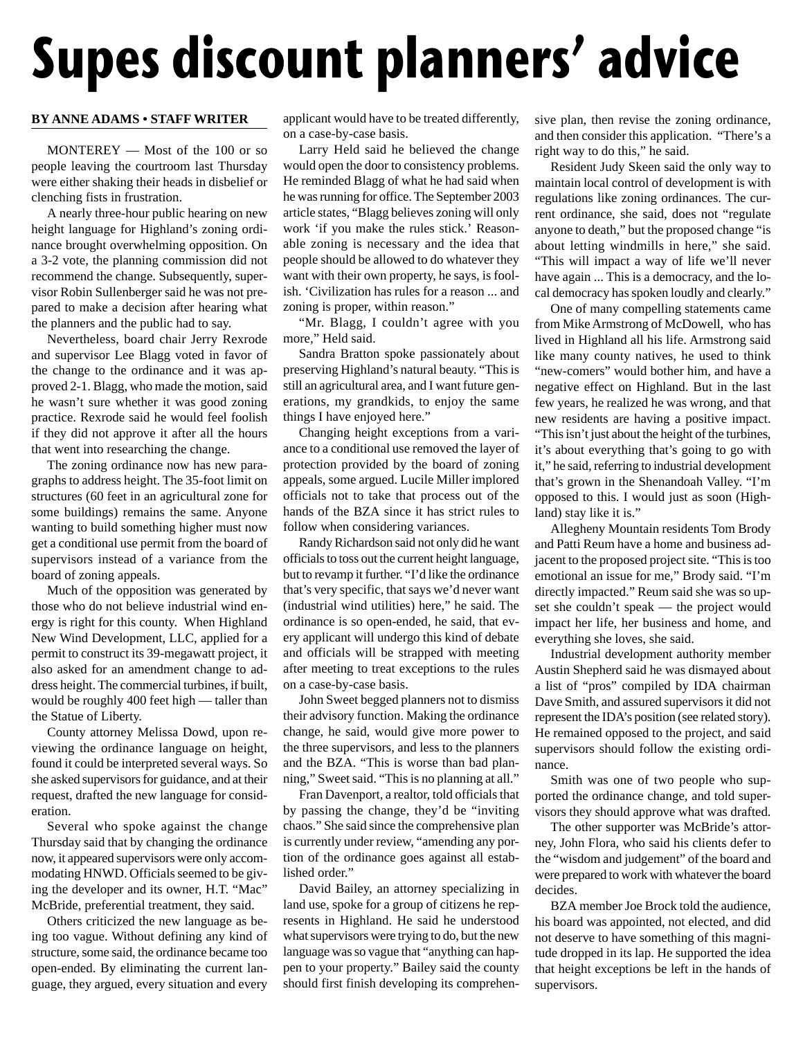## **Supes discount planners' advice**

## **BY ANNE ADAMS • STAFF WRITER**

MONTEREY — Most of the 100 or so people leaving the courtroom last Thursday were either shaking their heads in disbelief or clenching fists in frustration.

A nearly three-hour public hearing on new height language for Highland's zoning ordinance brought overwhelming opposition. On a 3-2 vote, the planning commission did not recommend the change. Subsequently, supervisor Robin Sullenberger said he was not prepared to make a decision after hearing what the planners and the public had to say.

Nevertheless, board chair Jerry Rexrode and supervisor Lee Blagg voted in favor of the change to the ordinance and it was approved 2-1. Blagg, who made the motion, said he wasn't sure whether it was good zoning practice. Rexrode said he would feel foolish if they did not approve it after all the hours that went into researching the change.

The zoning ordinance now has new paragraphs to address height. The 35-foot limit on structures (60 feet in an agricultural zone for some buildings) remains the same. Anyone wanting to build something higher must now get a conditional use permit from the board of supervisors instead of a variance from the board of zoning appeals.

Much of the opposition was generated by those who do not believe industrial wind energy is right for this county. When Highland New Wind Development, LLC, applied for a permit to construct its 39-megawatt project, it also asked for an amendment change to address height. The commercial turbines, if built, would be roughly 400 feet high — taller than the Statue of Liberty.

County attorney Melissa Dowd, upon reviewing the ordinance language on height, found it could be interpreted several ways. So she asked supervisors for guidance, and at their request, drafted the new language for consideration.

Several who spoke against the change Thursday said that by changing the ordinance now, it appeared supervisors were only accommodating HNWD. Officials seemed to be giving the developer and its owner, H.T. "Mac" McBride, preferential treatment, they said.

Others criticized the new language as being too vague. Without defining any kind of structure, some said, the ordinance became too open-ended. By eliminating the current language, they argued, every situation and every

applicant would have to be treated differently, on a case-by-case basis.

Larry Held said he believed the change would open the door to consistency problems. He reminded Blagg of what he had said when he was running for office. The September 2003 article states, "Blagg believes zoning will only work 'if you make the rules stick.' Reasonable zoning is necessary and the idea that people should be allowed to do whatever they want with their own property, he says, is foolish. 'Civilization has rules for a reason ... and zoning is proper, within reason."

"Mr. Blagg, I couldn't agree with you more," Held said.

Sandra Bratton spoke passionately about preserving Highland's natural beauty. "This is still an agricultural area, and I want future generations, my grandkids, to enjoy the same things I have enjoyed here."

Changing height exceptions from a variance to a conditional use removed the layer of protection provided by the board of zoning appeals, some argued. Lucile Miller implored officials not to take that process out of the hands of the BZA since it has strict rules to follow when considering variances.

Randy Richardson said not only did he want officials to toss out the current height language, but to revamp it further. "I'd like the ordinance that's very specific, that says we'd never want (industrial wind utilities) here," he said. The ordinance is so open-ended, he said, that every applicant will undergo this kind of debate and officials will be strapped with meeting after meeting to treat exceptions to the rules on a case-by-case basis.

John Sweet begged planners not to dismiss their advisory function. Making the ordinance change, he said, would give more power to the three supervisors, and less to the planners and the BZA. "This is worse than bad planning," Sweet said. "This is no planning at all."

Fran Davenport, a realtor, told officials that by passing the change, they'd be "inviting chaos." She said since the comprehensive plan is currently under review, "amending any portion of the ordinance goes against all established order."

David Bailey, an attorney specializing in land use, spoke for a group of citizens he represents in Highland. He said he understood what supervisors were trying to do, but the new language was so vague that "anything can happen to your property." Bailey said the county should first finish developing its comprehensive plan, then revise the zoning ordinance, and then consider this application. "There's a right way to do this," he said.

Resident Judy Skeen said the only way to maintain local control of development is with regulations like zoning ordinances. The current ordinance, she said, does not "regulate anyone to death," but the proposed change "is about letting windmills in here," she said. "This will impact a way of life we'll never have again ... This is a democracy, and the local democracy has spoken loudly and clearly."

One of many compelling statements came from Mike Armstrong of McDowell, who has lived in Highland all his life. Armstrong said like many county natives, he used to think "new-comers" would bother him, and have a negative effect on Highland. But in the last few years, he realized he was wrong, and that new residents are having a positive impact. "This isn't just about the height of the turbines, it's about everything that's going to go with it," he said, referring to industrial development that's grown in the Shenandoah Valley. "I'm opposed to this. I would just as soon (Highland) stay like it is."

Allegheny Mountain residents Tom Brody and Patti Reum have a home and business adjacent to the proposed project site. "This is too emotional an issue for me," Brody said. "I'm directly impacted." Reum said she was so upset she couldn't speak — the project would impact her life, her business and home, and everything she loves, she said.

Industrial development authority member Austin Shepherd said he was dismayed about a list of "pros" compiled by IDA chairman Dave Smith, and assured supervisors it did not represent the IDA's position (see related story). He remained opposed to the project, and said supervisors should follow the existing ordinance.

Smith was one of two people who supported the ordinance change, and told supervisors they should approve what was drafted.

The other supporter was McBride's attorney, John Flora, who said his clients defer to the "wisdom and judgement" of the board and were prepared to work with whatever the board decides.

BZA member Joe Brock told the audience, his board was appointed, not elected, and did not deserve to have something of this magnitude dropped in its lap. He supported the idea that height exceptions be left in the hands of supervisors.